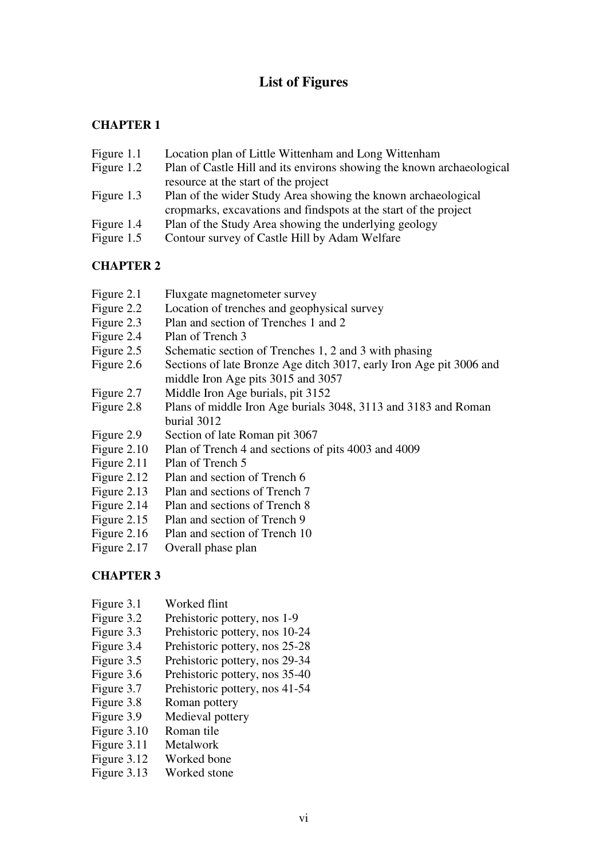# **List of Figures**

### **CHAPTER 1**

- Figure 1.1 Location plan of Little Wittenham and Long Wittenham
- Figure 1.2 Plan of Castle Hill and its environs showing the known archaeological resource at the start of the project
- Figure 1.3 Plan of the wider Study Area showing the known archaeological cropmarks, excavations and findspots at the start of the project
- Figure 1.4 Plan of the Study Area showing the underlying geology
- Figure 1.5 Contour survey of Castle Hill by Adam Welfare

### **CHAPTER 2**

- Figure 2.1 Fluxgate magnetometer survey
- Figure 2.2 Location of trenches and geophysical survey
- Figure 2.3 Plan and section of Trenches 1 and 2
- Figure 2.4 Plan of Trench 3
- Figure 2.5 Schematic section of Trenches 1, 2 and 3 with phasing
- Figure 2.6 Sections of late Bronze Age ditch 3017, early Iron Age pit 3006 and middle Iron Age pits 3015 and 3057
- Figure 2.7 Middle Iron Age burials, pit 3152
- Figure 2.8 Plans of middle Iron Age burials 3048, 3113 and 3183 and Roman burial 3012
- Figure 2.9 Section of late Roman pit 3067
- Figure 2.10 Plan of Trench 4 and sections of pits 4003 and 4009
- Figure 2.11 Plan of Trench 5
- Figure 2.12 Plan and section of Trench 6
- Figure 2.13 Plan and sections of Trench 7
- Figure 2.14 Plan and sections of Trench 8
- Figure 2.15 Plan and section of Trench 9
- Figure 2.16 Plan and section of Trench 10
- Figure 2.17 Overall phase plan

- Figure 3.1 Worked flint
- Figure 3.2 Prehistoric pottery, nos 1-9
- Figure 3.3 Prehistoric pottery, nos 10-24
- Figure 3.4 Prehistoric pottery, nos 25-28
- Figure 3.5 Prehistoric pottery, nos 29-34
- Figure 3.6 Prehistoric pottery, nos 35-40
- Figure 3.7 Prehistoric pottery, nos 41-54
- Figure 3.8 Roman pottery
- Figure 3.9 Medieval pottery
- Figure 3.10 Roman tile
- Figure 3.11 Metalwork
- Figure 3.12 Worked bone
- Figure 3.13 Worked stone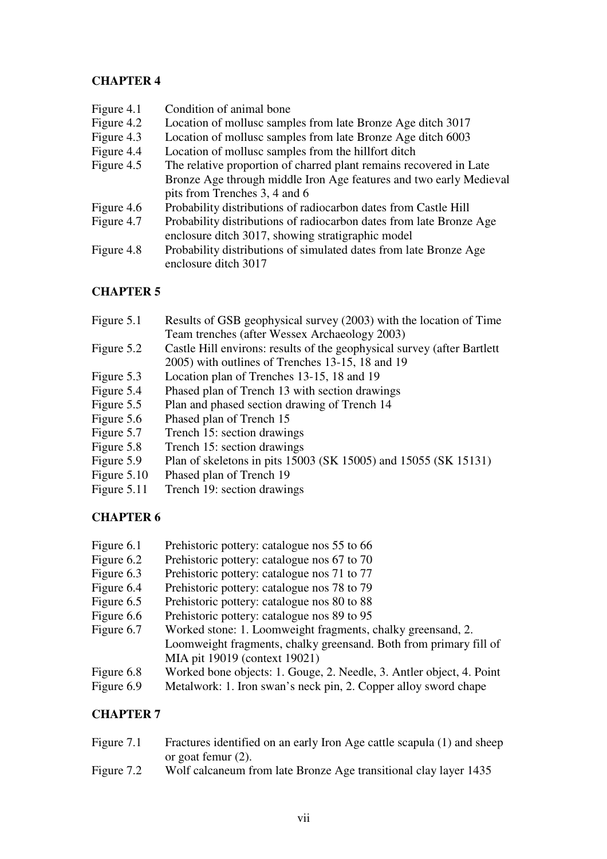### **CHAPTER 4**

| Figure 4.1 | Condition of animal bone                                            |
|------------|---------------------------------------------------------------------|
| Figure 4.2 | Location of mollusc samples from late Bronze Age ditch 3017         |
| Figure 4.3 | Location of mollusc samples from late Bronze Age ditch 6003         |
| Figure 4.4 | Location of mollusc samples from the hillfort ditch                 |
| Figure 4.5 | The relative proportion of charred plant remains recovered in Late  |
|            | Bronze Age through middle Iron Age features and two early Medieval  |
|            | pits from Trenches 3, 4 and 6                                       |
| Figure 4.6 | Probability distributions of radiocarbon dates from Castle Hill     |
| Figure 4.7 | Probability distributions of radiocarbon dates from late Bronze Age |
|            | enclosure ditch 3017, showing stratigraphic model                   |
| Figure 4.8 | Probability distributions of simulated dates from late Bronze Age   |
|            | enclosure ditch 3017                                                |

# **CHAPTER 5**

| Figure 5.1  | Results of GSB geophysical survey (2003) with the location of Time      |
|-------------|-------------------------------------------------------------------------|
|             | Team trenches (after Wessex Archaeology 2003)                           |
| Figure 5.2  | Castle Hill environs: results of the geophysical survey (after Bartlett |
|             | 2005) with outlines of Trenches 13-15, 18 and 19                        |
| Figure 5.3  | Location plan of Trenches 13-15, 18 and 19                              |
| Figure 5.4  | Phased plan of Trench 13 with section drawings                          |
| Figure 5.5  | Plan and phased section drawing of Trench 14                            |
| Figure 5.6  | Phased plan of Trench 15                                                |
| Figure 5.7  | Trench 15: section drawings                                             |
| Figure 5.8  | Trench 15: section drawings                                             |
| Figure 5.9  | Plan of skeletons in pits 15003 (SK 15005) and 15055 (SK 15131)         |
| Figure 5.10 | Phased plan of Trench 19                                                |
| Figure 5.11 | Trench 19: section drawings                                             |

# **CHAPTER 6**

- Figure 6.1 Prehistoric pottery: catalogue nos 55 to 66
- Figure 6.2 Prehistoric pottery: catalogue nos 67 to 70
- Figure 6.3 Prehistoric pottery: catalogue nos 71 to 77
- Figure 6.4 Prehistoric pottery: catalogue nos 78 to 79
- Figure 6.5 Prehistoric pottery: catalogue nos 80 to 88<br>Figure 6.6 Prehistoric pottery: catalogue nos 89 to 95
- Prehistoric pottery: catalogue nos 89 to 95
- Figure 6.7 Worked stone: 1. Loomweight fragments, chalky greensand, 2. Loomweight fragments, chalky greensand. Both from primary fill of MIA pit 19019 (context 19021) Figure 6.8 Worked bone objects: 1. Gouge, 2. Needle, 3. Antler object, 4. Point
- Figure 6.9 Metalwork: 1. Iron swan's neck pin, 2. Copper alloy sword chape

| Figure 7.1 | Fractures identified on an early Iron Age cattle scapula (1) and sheep |
|------------|------------------------------------------------------------------------|
|            | or goat femur $(2)$ .                                                  |
| Figure 7.2 | Wolf calcaneum from late Bronze Age transitional clay layer 1435       |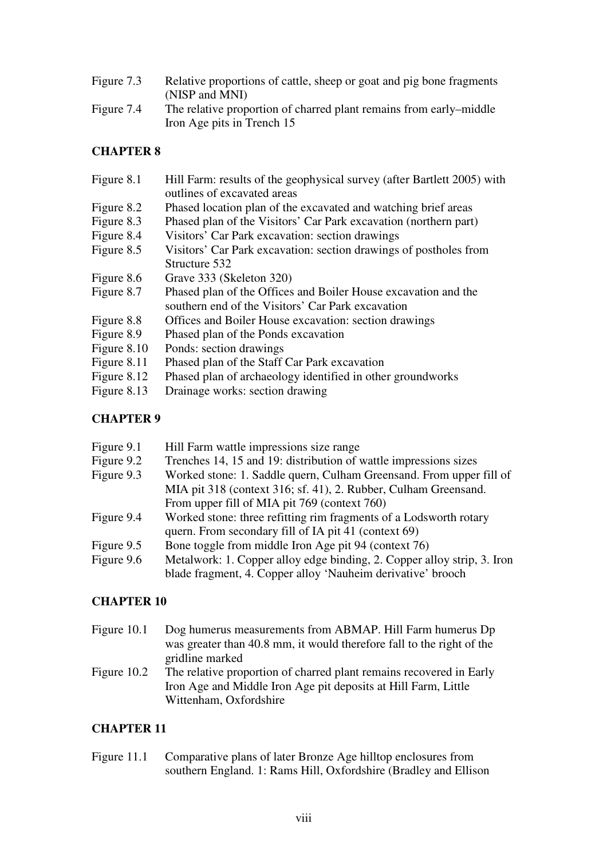| Figure 7.3 | Relative proportions of cattle, sheep or goat and pig bone fragments<br>(NISP and MNI)           |
|------------|--------------------------------------------------------------------------------------------------|
| Figure 7.4 | The relative proportion of charred plant remains from early–middle<br>Iron Age pits in Trench 15 |

#### **CHAPTER 8**

| Figure 8.1  | Hill Farm: results of the geophysical survey (after Bartlett 2005) with |
|-------------|-------------------------------------------------------------------------|
|             | outlines of excavated areas                                             |
| Figure 8.2  | Phased location plan of the excavated and watching brief areas          |
| Figure 8.3  | Phased plan of the Visitors' Car Park excavation (northern part)        |
| Figure 8.4  | Visitors' Car Park excavation: section drawings                         |
| Figure 8.5  | Visitors' Car Park excavation: section drawings of postholes from       |
|             | Structure 532                                                           |
| Figure 8.6  | Grave 333 (Skeleton 320)                                                |
| Figure 8.7  | Phased plan of the Offices and Boiler House excavation and the          |
|             | southern end of the Visitors' Car Park excavation                       |
| Figure 8.8  | Offices and Boiler House excavation: section drawings                   |
| Figure 8.9  | Phased plan of the Ponds excavation                                     |
| Figure 8.10 | Ponds: section drawings                                                 |
| Figure 8.11 | Phased plan of the Staff Car Park excavation                            |
| Figure 8.12 | Phased plan of archaeology identified in other groundworks              |
| Figure 8.13 | Drainage works: section drawing                                         |
|             |                                                                         |

### **CHAPTER 9**

| Figure 9.1 | Hill Farm wattle impressions size range                                 |
|------------|-------------------------------------------------------------------------|
| Figure 9.2 | Trenches 14, 15 and 19: distribution of wattle impressions sizes        |
| Figure 9.3 | Worked stone: 1. Saddle quern, Culham Greensand. From upper fill of     |
|            | MIA pit 318 (context 316; sf. 41), 2. Rubber, Culham Greensand.         |
|            | From upper fill of MIA pit 769 (context 760)                            |
| Figure 9.4 | Worked stone: three refitting rim fragments of a Lodsworth rotary       |
|            | quern. From secondary fill of IA pit 41 (context 69)                    |
| Figure 9.5 | Bone toggle from middle Iron Age pit 94 (context 76)                    |
| Figure 9.6 | Metalwork: 1. Copper alloy edge binding, 2. Copper alloy strip, 3. Iron |
|            | blade fragment, 4. Copper alloy 'Nauheim derivative' brooch             |

#### **CHAPTER 10**

- Figure 10.1 Dog humerus measurements from ABMAP. Hill Farm humerus Dp was greater than 40.8 mm, it would therefore fall to the right of the gridline marked
- Figure 10.2 The relative proportion of charred plant remains recovered in Early Iron Age and Middle Iron Age pit deposits at Hill Farm, Little Wittenham, Oxfordshire

#### **CHAPTER 11**

Figure 11.1 Comparative plans of later Bronze Age hilltop enclosures from southern England. 1: Rams Hill, Oxfordshire (Bradley and Ellison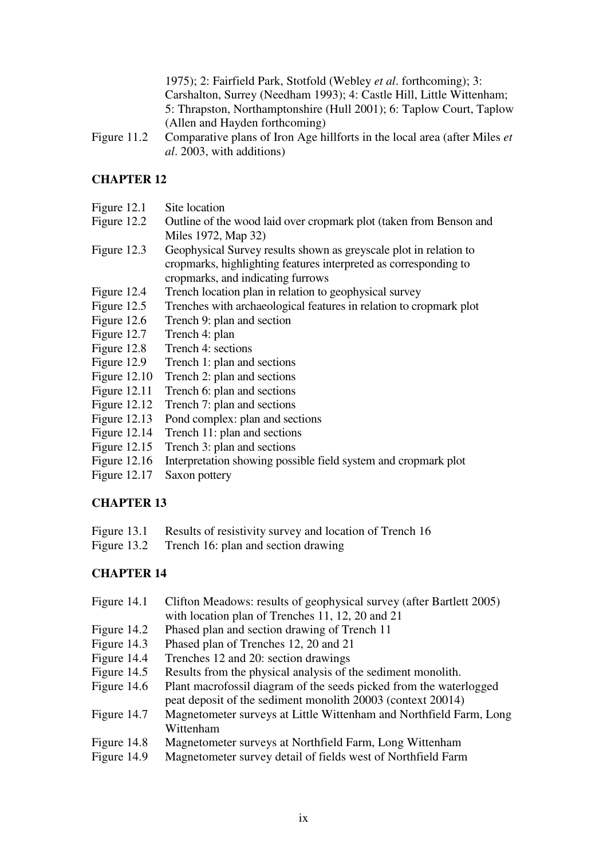1975); 2: Fairfield Park, Stotfold (Webley *et al*. forthcoming); 3: Carshalton, Surrey (Needham 1993); 4: Castle Hill, Little Wittenham; 5: Thrapston, Northamptonshire (Hull 2001); 6: Taplow Court, Taplow (Allen and Hayden forthcoming)

Figure 11.2 Comparative plans of Iron Age hillforts in the local area (after Miles *et al*. 2003, with additions)

### **CHAPTER 12**

| Figure 12.1    | Site location                                                      |
|----------------|--------------------------------------------------------------------|
| Figure 12.2    | Outline of the wood laid over cropmark plot (taken from Benson and |
|                | Miles 1972, Map 32)                                                |
| Figure 12.3    | Geophysical Survey results shown as greyscale plot in relation to  |
|                | cropmarks, highlighting features interpreted as corresponding to   |
|                | cropmarks, and indicating furrows                                  |
| Figure 12.4    | Trench location plan in relation to geophysical survey             |
| Figure $12.5$  | Trenches with archaeological features in relation to cropmark plot |
| Figure $12.6$  | Trench 9: plan and section                                         |
| Figure 12.7    | Trench 4: plan                                                     |
| Figure 12.8    | Trench 4: sections                                                 |
| Figure 12.9    | Trench 1: plan and sections                                        |
| Figure $12.10$ | Trench 2: plan and sections                                        |
| Figure $12.11$ | Trench 6: plan and sections                                        |
| Figure $12.12$ | Trench 7: plan and sections                                        |
| Figure $12.13$ | Pond complex: plan and sections                                    |
|                |                                                                    |

- Figure 12.14 Trench 11: plan and sections
- Figure 12.15 Trench 3: plan and sections
- Figure 12.16 Interpretation showing possible field system and cropmark plot
- Figure 12.17 Saxon pottery

#### **CHAPTER 13**

- Figure 13.1 Results of resistivity survey and location of Trench 16
- Figure 13.2 Trench 16: plan and section drawing

| Clifton Meadows: results of geophysical survey (after Bartlett 2005) |
|----------------------------------------------------------------------|
| with location plan of Trenches 11, 12, 20 and 21                     |
| Phased plan and section drawing of Trench 11                         |
| Phased plan of Trenches 12, 20 and 21                                |
| Trenches 12 and 20: section drawings                                 |
| Results from the physical analysis of the sediment monolith.         |
| Plant macrofossil diagram of the seeds picked from the waterlogged   |
| peat deposit of the sediment monolith 20003 (context 20014)          |
| Magnetometer surveys at Little Wittenham and Northfield Farm, Long   |
| Wittenham                                                            |
| Magnetometer surveys at Northfield Farm, Long Wittenham              |
| Magnetometer survey detail of fields west of Northfield Farm         |
|                                                                      |